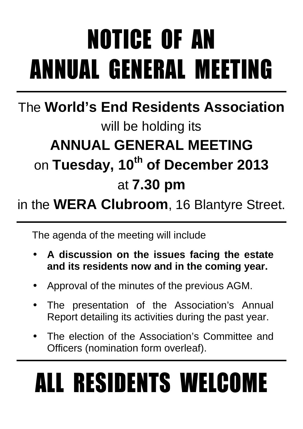# NOTICE OF AN ANNUAL GENERAL MEETING

### The **World's End Residents Association** will be holding its **ANNUAL GENERAL MEETING**  on **Tuesday, 10th of December 2013** at **7.30 pm**

### in the **WERA Clubroom**, 16 Blantyre Street.

The agenda of the meeting will include

- **A discussion on the issues facing the estate and its residents now and in the coming year.**
- Approval of the minutes of the previous AGM.
- The presentation of the Association's Annual Report detailing its activities during the past year.
- The election of the Association's Committee and Officers (nomination form overleaf).

# ALL RESIDENTS WELCOME